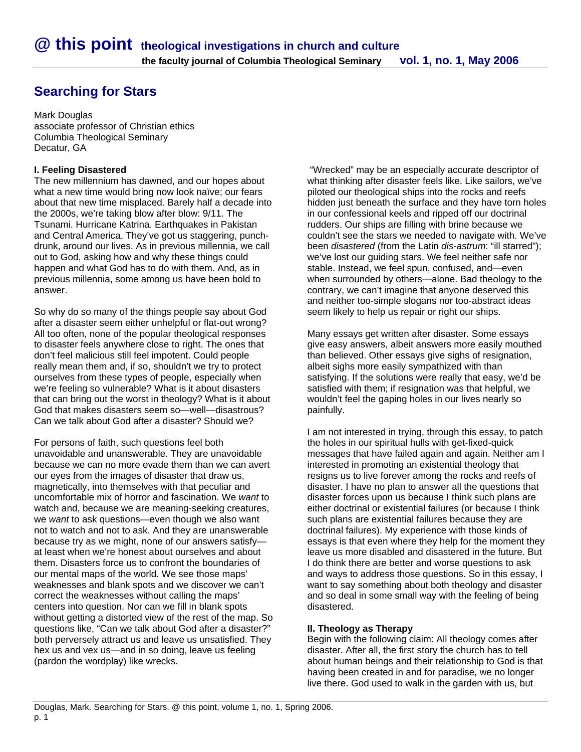# **Searching for Stars**

Mark Douglas associate professor of Christian ethics Columbia Theological Seminary Decatur, GA

## **I. Feeling Disastered**

The new millennium has dawned, and our hopes about what a new time would bring now look naïve; our fears about that new time misplaced. Barely half a decade into the 2000s, we're taking blow after blow: 9/11. The Tsunami. Hurricane Katrina. Earthquakes in Pakistan and Central America. They've got us staggering, punchdrunk, around our lives. As in previous millennia, we call out to God, asking how and why these things could happen and what God has to do with them. And, as in previous millennia, some among us have been bold to answer.

So why do so many of the things people say about God after a disaster seem either unhelpful or flat-out wrong? All too often, none of the popular theological responses to disaster feels anywhere close to right. The ones that don't feel malicious still feel impotent. Could people really mean them and, if so, shouldn't we try to protect ourselves from these types of people, especially when we're feeling so vulnerable? What is it about disasters that can bring out the worst in theology? What is it about God that makes disasters seem so—well—disastrous? Can we talk about God after a disaster? Should we?

For persons of faith, such questions feel both unavoidable and unanswerable. They are unavoidable because we can no more evade them than we can avert our eyes from the images of disaster that draw us, magnetically, into themselves with that peculiar and uncomfortable mix of horror and fascination. We *want* to watch and, because we are meaning-seeking creatures, we *want* to ask questions—even though we also want not to watch and not to ask. And they are unanswerable because try as we might, none of our answers satisfy at least when we're honest about ourselves and about them. Disasters force us to confront the boundaries of our mental maps of the world. We see those maps' weaknesses and blank spots and we discover we can't correct the weaknesses without calling the maps' centers into question. Nor can we fill in blank spots without getting a distorted view of the rest of the map. So questions like, "Can we talk about God after a disaster?" both perversely attract us and leave us unsatisfied. They hex us and vex us—and in so doing, leave us feeling (pardon the wordplay) like wrecks.

 "Wrecked" may be an especially accurate descriptor of what thinking after disaster feels like. Like sailors, we've piloted our theological ships into the rocks and reefs hidden just beneath the surface and they have torn holes in our confessional keels and ripped off our doctrinal rudders. Our ships are filling with brine because we couldn't see the stars we needed to navigate with. We've been *disastered* (from the Latin *dis-astrum*: "ill starred"); we've lost our guiding stars. We feel neither safe nor stable. Instead, we feel spun, confused, and—even when surrounded by others—alone. Bad theology to the contrary, we can't imagine that anyone deserved this and neither too-simple slogans nor too-abstract ideas seem likely to help us repair or right our ships.

Many essays get written after disaster. Some essays give easy answers, albeit answers more easily mouthed than believed. Other essays give sighs of resignation, albeit sighs more easily sympathized with than satisfying. If the solutions were really that easy, we'd be satisfied with them; if resignation was that helpful, we wouldn't feel the gaping holes in our lives nearly so painfully.

I am not interested in trying, through this essay, to patch the holes in our spiritual hulls with get-fixed-quick messages that have failed again and again. Neither am I interested in promoting an existential theology that resigns us to live forever among the rocks and reefs of disaster. I have no plan to answer all the questions that disaster forces upon us because I think such plans are either doctrinal or existential failures (or because I think such plans are existential failures because they are doctrinal failures). My experience with those kinds of essays is that even where they help for the moment they leave us more disabled and disastered in the future. But I do think there are better and worse questions to ask and ways to address those questions. So in this essay, I want to say something about both theology and disaster and so deal in some small way with the feeling of being disastered.

#### **II. Theology as Therapy**

Begin with the following claim: All theology comes after disaster. After all, the first story the church has to tell about human beings and their relationship to God is that having been created in and for paradise, we no longer live there. God used to walk in the garden with us, but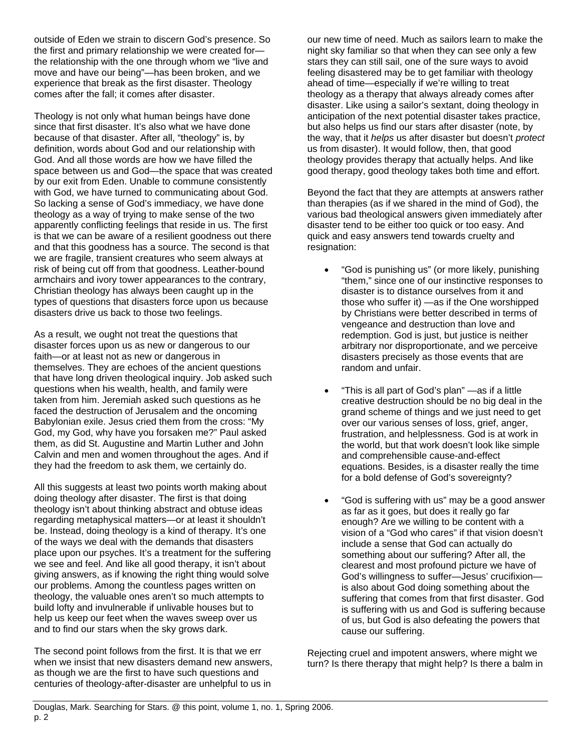outside of Eden we strain to discern God's presence. So the first and primary relationship we were created for the relationship with the one through whom we "live and move and have our being"—has been broken, and we experience that break as the first disaster. Theology comes after the fall; it comes after disaster.

Theology is not only what human beings have done since that first disaster. It's also what we have done because of that disaster. After all, "theology" is, by definition, words about God and our relationship with God. And all those words are how we have filled the space between us and God—the space that was created by our exit from Eden. Unable to commune consistently with God, we have turned to communicating about God. So lacking a sense of God's immediacy, we have done theology as a way of trying to make sense of the two apparently conflicting feelings that reside in us. The first is that we can be aware of a resilient goodness out there and that this goodness has a source. The second is that we are fragile, transient creatures who seem always at risk of being cut off from that goodness. Leather-bound armchairs and ivory tower appearances to the contrary, Christian theology has always been caught up in the types of questions that disasters force upon us because disasters drive us back to those two feelings.

As a result, we ought not treat the questions that disaster forces upon us as new or dangerous to our faith—or at least not as new or dangerous in themselves. They are echoes of the ancient questions that have long driven theological inquiry. Job asked such questions when his wealth, health, and family were taken from him. Jeremiah asked such questions as he faced the destruction of Jerusalem and the oncoming Babylonian exile. Jesus cried them from the cross: "My God, my God, why have you forsaken me?" Paul asked them, as did St. Augustine and Martin Luther and John Calvin and men and women throughout the ages. And if they had the freedom to ask them, we certainly do.

All this suggests at least two points worth making about doing theology after disaster. The first is that doing theology isn't about thinking abstract and obtuse ideas regarding metaphysical matters—or at least it shouldn't be. Instead, doing theology is a kind of therapy. It's one of the ways we deal with the demands that disasters place upon our psyches. It's a treatment for the suffering we see and feel. And like all good therapy, it isn't about giving answers, as if knowing the right thing would solve our problems. Among the countless pages written on theology, the valuable ones aren't so much attempts to build lofty and invulnerable if unlivable houses but to help us keep our feet when the waves sweep over us and to find our stars when the sky grows dark.

The second point follows from the first. It is that we err when we insist that new disasters demand new answers, as though we are the first to have such questions and centuries of theology-after-disaster are unhelpful to us in

our new time of need. Much as sailors learn to make the night sky familiar so that when they can see only a few stars they can still sail, one of the sure ways to avoid feeling disastered may be to get familiar with theology ahead of time—especially if we're willing to treat theology as a therapy that always already comes after disaster. Like using a sailor's sextant, doing theology in anticipation of the next potential disaster takes practice, but also helps us find our stars after disaster (note, by the way, that it *helps* us after disaster but doesn't *protect* us from disaster). It would follow, then, that good theology provides therapy that actually helps. And like good therapy, good theology takes both time and effort.

Beyond the fact that they are attempts at answers rather than therapies (as if we shared in the mind of God), the various bad theological answers given immediately after disaster tend to be either too quick or too easy. And quick and easy answers tend towards cruelty and resignation:

- "God is punishing us" (or more likely, punishing "them," since one of our instinctive responses to disaster is to distance ourselves from it and those who suffer it) —as if the One worshipped by Christians were better described in terms of vengeance and destruction than love and redemption. God is just, but justice is neither arbitrary nor disproportionate, and we perceive disasters precisely as those events that are random and unfair.
- "This is all part of God's plan" —as if a little creative destruction should be no big deal in the grand scheme of things and we just need to get over our various senses of loss, grief, anger, frustration, and helplessness. God is at work in the world, but that work doesn't look like simple and comprehensible cause-and-effect equations. Besides, is a disaster really the time for a bold defense of God's sovereignty?
- "God is suffering with us" may be a good answer as far as it goes, but does it really go far enough? Are we willing to be content with a vision of a "God who cares" if that vision doesn't include a sense that God can actually do something about our suffering? After all, the clearest and most profound picture we have of God's willingness to suffer—Jesus' crucifixion is also about God doing something about the suffering that comes from that first disaster. God is suffering with us and God is suffering because of us, but God is also defeating the powers that cause our suffering.

Rejecting cruel and impotent answers, where might we turn? Is there therapy that might help? Is there a balm in